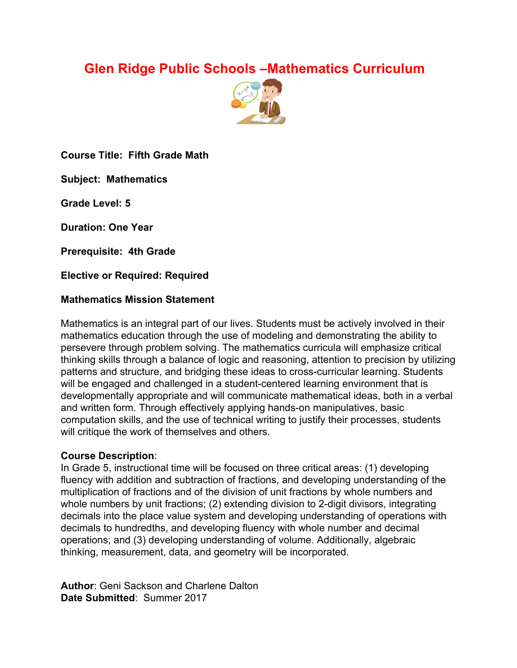# **Glen Ridge Public Schools –Mathematics Curriculum**



**Course Title: Fifth Grade Math**

**Subject: Mathematics**

**Grade Level: 5**

**Duration: One Year**

**Prerequisite: 4th Grade**

**Elective or Required: Required**

#### **Mathematics Mission Statement**

Mathematics is an integral part of our lives. Students must be actively involved in their mathematics education through the use of modeling and demonstrating the ability to persevere through problem solving. The mathematics curricula will emphasize critical thinking skills through a balance of logic and reasoning, attention to precision by utilizing patterns and structure, and bridging these ideas to cross-curricular learning. Students will be engaged and challenged in a student-centered learning environment that is developmentally appropriate and will communicate mathematical ideas, both in a verbal and written form. Through effectively applying hands-on manipulatives, basic computation skills, and the use of technical writing to justify their processes, students will critique the work of themselves and others.

#### **Course Description**:

In Grade 5, instructional time will be focused on three critical areas: (1) developing fluency with addition and subtraction of fractions, and developing understanding of the multiplication of fractions and of the division of unit fractions by whole numbers and whole numbers by unit fractions; (2) extending division to 2-digit divisors, integrating decimals into the place value system and developing understanding of operations with decimals to hundredths, and developing fluency with whole number and decimal operations; and (3) developing understanding of volume. Additionally, algebraic thinking, measurement, data, and geometry will be incorporated.

**Author**: Geni Sackson and Charlene Dalton **Date Submitted**: Summer 2017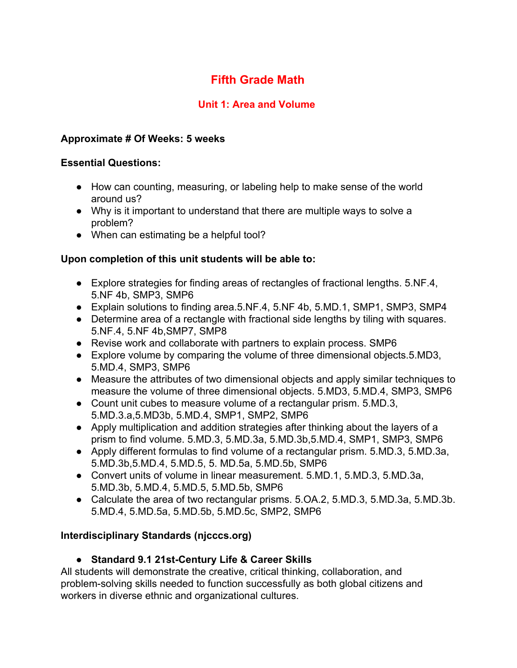# **Fifth Grade Math**

# **Unit 1: Area and Volume**

### **Approximate # Of Weeks: 5 weeks**

### **Essential Questions:**

- How can counting, measuring, or labeling help to make sense of the world around us?
- Why is it important to understand that there are multiple ways to solve a problem?
- When can estimating be a helpful tool?

### **Upon completion of this unit students will be able to:**

- Explore strategies for finding areas of rectangles of fractional lengths. 5.NF.4, 5.NF 4b, SMP3, SMP6
- Explain solutions to finding area.5.NF.4, 5.NF 4b, 5.MD.1, SMP1, SMP3, SMP4
- Determine area of a rectangle with fractional side lengths by tiling with squares. 5.NF.4, 5.NF 4b,SMP7, SMP8
- Revise work and collaborate with partners to explain process. SMP6
- Explore volume by comparing the volume of three dimensional objects.5.MD3, 5.MD.4, SMP3, SMP6
- Measure the attributes of two dimensional objects and apply similar techniques to measure the volume of three dimensional objects. 5.MD3, 5.MD.4, SMP3, SMP6
- Count unit cubes to measure volume of a rectangular prism. 5.MD.3, 5.MD.3.a,5.MD3b, 5.MD.4, SMP1, SMP2, SMP6
- Apply multiplication and addition strategies after thinking about the layers of a prism to find volume. 5.MD.3, 5.MD.3a, 5.MD.3b,5.MD.4, SMP1, SMP3, SMP6
- Apply different formulas to find volume of a rectangular prism. 5.MD.3, 5.MD.3a, 5.MD.3b,5.MD.4, 5.MD.5, 5. MD.5a, 5.MD.5b, SMP6
- Convert units of volume in linear measurement. 5.MD.1, 5.MD.3, 5.MD.3a, 5.MD.3b, 5.MD.4, 5.MD.5, 5.MD.5b, SMP6
- **●** Calculate the area of two rectangular prisms. 5.OA.2, 5.MD.3, 5.MD.3a, 5.MD.3b. 5.MD.4, 5.MD.5a, 5.MD.5b, 5.MD.5c, SMP2, SMP6

# **Interdisciplinary Standards (njcccs.org)**

# **● Standard 9.1 21st-Century Life & Career Skills**

All students will demonstrate the creative, critical thinking, collaboration, and problem-solving skills needed to function successfully as both global citizens and workers in diverse ethnic and organizational cultures.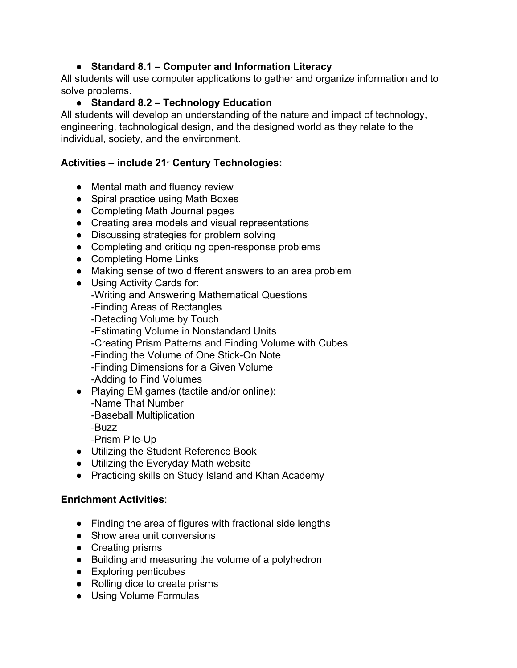### **● Standard 8.1 – Computer and Information Literacy**

All students will use computer applications to gather and organize information and to solve problems.

# **● Standard 8.2 – Technology Education**

All students will develop an understanding of the nature and impact of technology, engineering, technological design, and the designed world as they relate to the individual, society, and the environment.

# **Activities – include 21 st Century Technologies:**

- Mental math and fluency review
- Spiral practice using Math Boxes
- Completing Math Journal pages
- Creating area models and visual representations
- Discussing strategies for problem solving
- Completing and critiquing open-response problems
- Completing Home Links
- Making sense of two different answers to an area problem
- Using Activity Cards for: -Writing and Answering Mathematical Questions -Finding Areas of Rectangles -Detecting Volume by Touch -Estimating Volume in Nonstandard Units -Creating Prism Patterns and Finding Volume with Cubes -Finding the Volume of One Stick-On Note -Finding Dimensions for a Given Volume -Adding to Find Volumes ● Playing EM games (tactile and/or online):
	- -Name That Number
	- -Baseball Multiplication
	- -Buzz
	- -Prism Pile-Up
- Utilizing the Student Reference Book
- Utilizing the Everyday Math website
- Practicing skills on Study Island and Khan Academy

### **Enrichment Activities**:

- Finding the area of figures with fractional side lengths
- Show area unit conversions
- Creating prisms
- Building and measuring the volume of a polyhedron
- Exploring penticubes
- Rolling dice to create prisms
- Using Volume Formulas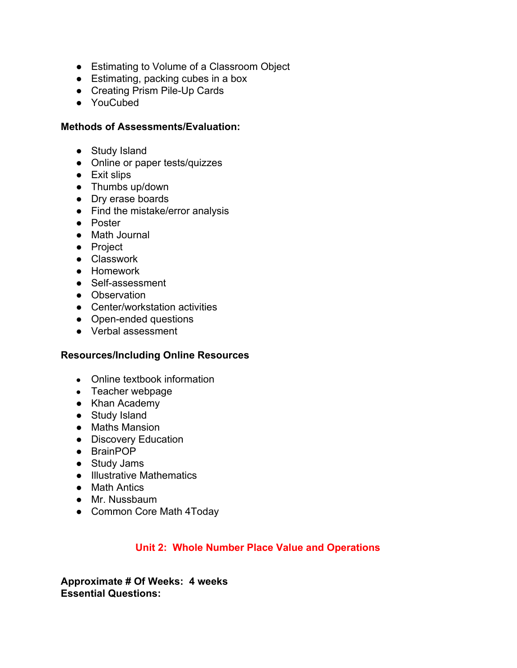- Estimating to Volume of a Classroom Object
- Estimating, packing cubes in a box
- Creating Prism Pile-Up Cards
- YouCubed

#### **Methods of Assessments/Evaluation:**

- Study Island
- Online or paper tests/quizzes
- Exit slips
- Thumbs up/down
- Dry erase boards
- Find the mistake/error analysis
- Poster
- Math Journal
- Project
- Classwork
- Homework
- Self-assessment
- Observation
- Center/workstation activities
- Open-ended questions
- Verbal assessment

#### **Resources/Including Online Resources**

- Online textbook information
- Teacher webpage
- Khan Academy
- Study Island
- Maths Mansion
- Discovery Education
- BrainPOP
- Study Jams
- Illustrative Mathematics
- Math Antics
- Mr. Nussbaum
- Common Core Math 4Today

### **Unit 2: Whole Number Place Value and Operations**

**Approximate # Of Weeks: 4 weeks Essential Questions:**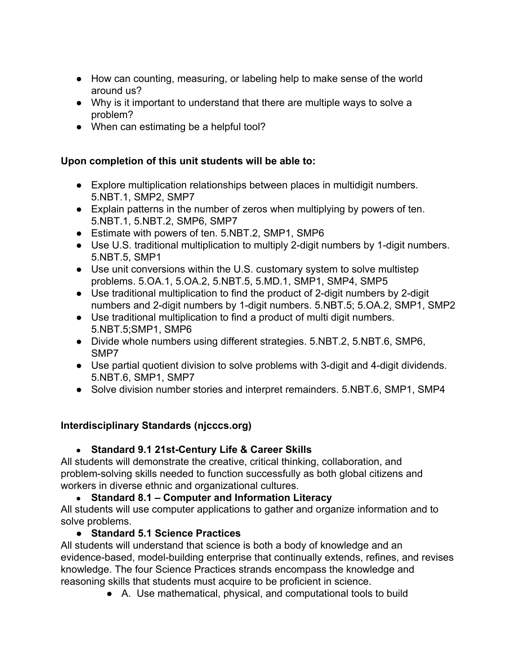- How can counting, measuring, or labeling help to make sense of the world around us?
- Why is it important to understand that there are multiple ways to solve a problem?
- When can estimating be a helpful tool?

### **Upon completion of this unit students will be able to:**

- Explore multiplication relationships between places in multidigit numbers. 5.NBT.1, SMP2, SMP7
- Explain patterns in the number of zeros when multiplying by powers of ten. 5.NBT.1, 5.NBT.2, SMP6, SMP7
- Estimate with powers of ten. 5.NBT.2, SMP1, SMP6
- Use U.S. traditional multiplication to multiply 2-digit numbers by 1-digit numbers. 5.NBT.5, SMP1
- Use unit conversions within the U.S. customary system to solve multistep problems. 5.OA.1, 5.OA.2, 5.NBT.5, 5.MD.1, SMP1, SMP4, SMP5
- Use traditional multiplication to find the product of 2-digit numbers by 2-digit numbers and 2-digit numbers by 1-digit numbers. 5.NBT.5; 5.OA.2, SMP1, SMP2
- Use traditional multiplication to find a product of multi digit numbers. 5.NBT.5;SMP1, SMP6
- Divide whole numbers using different strategies. 5.NBT.2, 5.NBT.6, SMP6, SMP7
- Use partial quotient division to solve problems with 3-digit and 4-digit dividends. 5.NBT.6, SMP1, SMP7
- Solve division number stories and interpret remainders. 5.NBT.6, SMP1, SMP4

# **Interdisciplinary Standards (njcccs.org)**

# ● **Standard 9.1 21st-Century Life & Career Skills**

All students will demonstrate the creative, critical thinking, collaboration, and problem-solving skills needed to function successfully as both global citizens and workers in diverse ethnic and organizational cultures.

# ● **Standard 8.1 – Computer and Information Literacy**

All students will use computer applications to gather and organize information and to solve problems.

# **● Standard 5.1 Science Practices**

All students will understand that science is both a body of knowledge and an evidence-based, model-building enterprise that continually extends, refines, and revises knowledge. The four Science Practices strands encompass the knowledge and reasoning skills that students must acquire to be proficient in science.

● A. Use mathematical, physical, and computational tools to build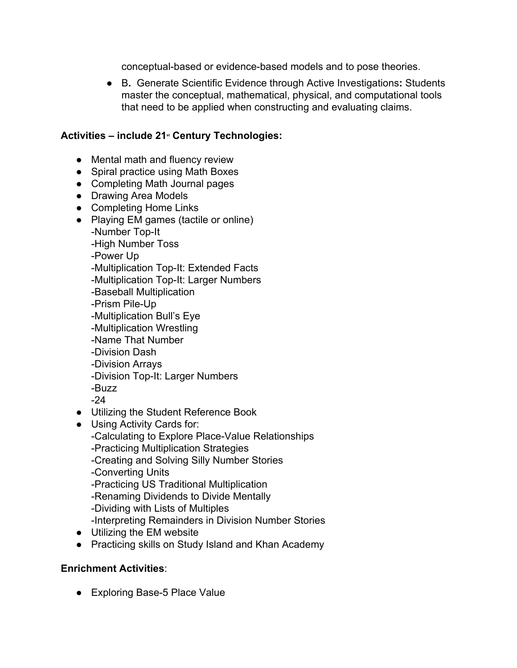conceptual-based or evidence-based models and to pose theories.

● B**.** Generate Scientific Evidence through Active Investigations**:** Students master the conceptual, mathematical, physical, and computational tools that need to be applied when constructing and evaluating claims.

# **Activities – include 21 st Century Technologies:**

- Mental math and fluency review
- Spiral practice using Math Boxes
- Completing Math Journal pages
- Drawing Area Models
- Completing Home Links
- Playing EM games (tactile or online)
	- -Number Top-It
		- -High Number Toss
		- -Power Up
		- -Multiplication Top-It: Extended Facts
		- -Multiplication Top-It: Larger Numbers
		- -Baseball Multiplication
		- -Prism Pile-Up
		- -Multiplication Bull's Eye
		- -Multiplication Wrestling
		- -Name That Number
		- -Division Dash
		- -Division Arrays
		- -Division Top-It: Larger Numbers
	- -Buzz
	- -24
- Utilizing the Student Reference Book
- Using Activity Cards for:
	- -Calculating to Explore Place-Value Relationships
	- -Practicing Multiplication Strategies
	- -Creating and Solving Silly Number Stories
	- -Converting Units
	- -Practicing US Traditional Multiplication
	- -Renaming Dividends to Divide Mentally
	- -Dividing with Lists of Multiples
	- -Interpreting Remainders in Division Number Stories
- Utilizing the EM website
- Practicing skills on Study Island and Khan Academy

### **Enrichment Activities**:

● Exploring Base-5 Place Value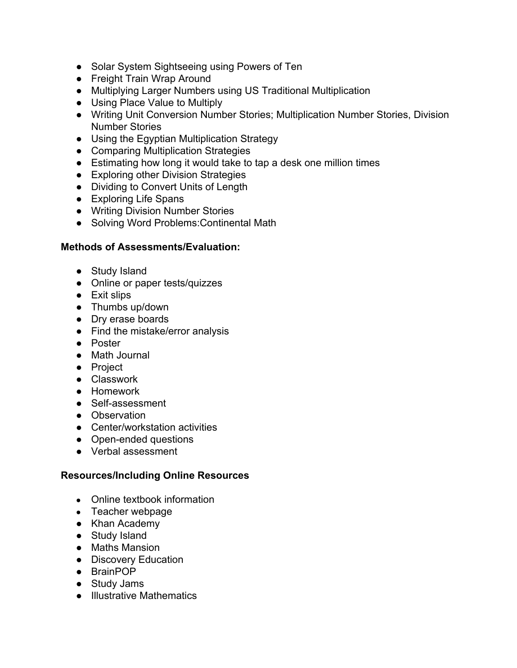- Solar System Sightseeing using Powers of Ten
- Freight Train Wrap Around
- Multiplying Larger Numbers using US Traditional Multiplication
- Using Place Value to Multiply
- Writing Unit Conversion Number Stories; Multiplication Number Stories, Division Number Stories
- Using the Egyptian Multiplication Strategy
- Comparing Multiplication Strategies
- Estimating how long it would take to tap a desk one million times
- Exploring other Division Strategies
- Dividing to Convert Units of Length
- Exploring Life Spans
- Writing Division Number Stories
- Solving Word Problems:Continental Math

#### **Methods of Assessments/Evaluation:**

- Study Island
- Online or paper tests/quizzes
- Exit slips
- Thumbs up/down
- Dry erase boards
- Find the mistake/error analysis
- Poster
- Math Journal
- Project
- Classwork
- Homework
- Self-assessment
- Observation
- Center/workstation activities
- Open-ended questions
- Verbal assessment

#### **Resources/Including Online Resources**

- Online textbook information
- Teacher webpage
- Khan Academy
- Study Island
- Maths Mansion
- Discovery Education
- BrainPOP
- Study Jams
- Illustrative Mathematics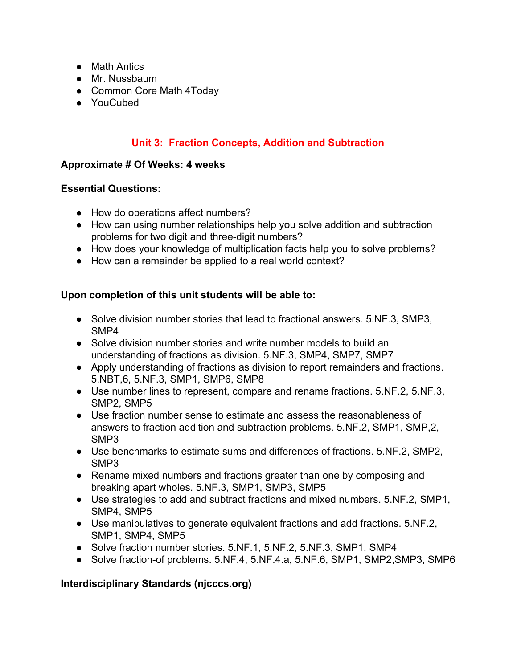- Math Antics
- Mr. Nussbaum
- Common Core Math 4Today
- YouCubed

# **Unit 3: Fraction Concepts, Addition and Subtraction**

#### **Approximate # Of Weeks: 4 weeks**

#### **Essential Questions:**

- How do operations affect numbers?
- How can using number relationships help you solve addition and subtraction problems for two digit and three-digit numbers?
- How does your knowledge of multiplication facts help you to solve problems?
- How can a remainder be applied to a real world context?

### **Upon completion of this unit students will be able to:**

- Solve division number stories that lead to fractional answers. 5.NF.3, SMP3, SMP4
- Solve division number stories and write number models to build an understanding of fractions as division. 5.NF.3, SMP4, SMP7, SMP7
- Apply understanding of fractions as division to report remainders and fractions. 5.NBT,6, 5.NF.3, SMP1, SMP6, SMP8
- Use number lines to represent, compare and rename fractions. 5.NF.2, 5.NF.3, SMP2, SMP5
- Use fraction number sense to estimate and assess the reasonableness of answers to fraction addition and subtraction problems. 5.NF.2, SMP1, SMP,2, SMP3
- Use benchmarks to estimate sums and differences of fractions. 5.NF.2, SMP2, SMP3
- Rename mixed numbers and fractions greater than one by composing and breaking apart wholes. 5.NF.3, SMP1, SMP3, SMP5
- Use strategies to add and subtract fractions and mixed numbers. 5.NF.2, SMP1, SMP4, SMP5
- Use manipulatives to generate equivalent fractions and add fractions. 5.NF.2, SMP1, SMP4, SMP5
- Solve fraction number stories. 5.NF.1, 5.NF.2, 5.NF.3, SMP1, SMP4
- Solve fraction-of problems. 5.NF.4, 5.NF.4.a, 5.NF.6, SMP1, SMP2, SMP3, SMP6

# **Interdisciplinary Standards (njcccs.org)**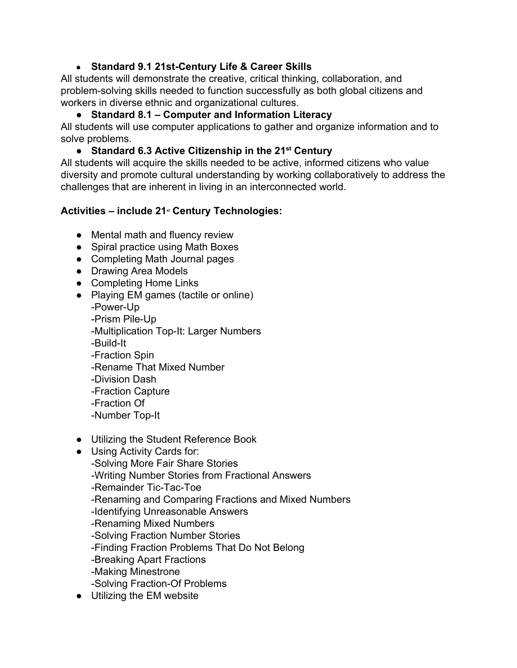### ● **Standard 9.1 21st-Century Life & Career Skills**

All students will demonstrate the creative, critical thinking, collaboration, and problem-solving skills needed to function successfully as both global citizens and workers in diverse ethnic and organizational cultures.

## ● **Standard 8.1 – Computer and Information Literacy**

All students will use computer applications to gather and organize information and to solve problems.

# ● **Standard 6.3 Active Citizenship in the 21 st Century**

All students will acquire the skills needed to be active, informed citizens who value diversity and promote cultural understanding by working collaboratively to address the challenges that are inherent in living in an interconnected world.

# **Activities – include 21 st Century Technologies:**

- Mental math and fluency review
- Spiral practice using Math Boxes
- Completing Math Journal pages
- Drawing Area Models
- Completing Home Links
- Playing EM games (tactile or online) -Power-Up -Prism Pile-Up -Multiplication Top-It: Larger Numbers -Build-It -Fraction Spin -Rename That Mixed Number -Division Dash -Fraction Capture -Fraction Of -Number Top-It
- Utilizing the Student Reference Book
- Using Activity Cards for:
	- -Solving More Fair Share Stories
	- -Writing Number Stories from Fractional Answers
	- -Remainder Tic-Tac-Toe
	- -Renaming and Comparing Fractions and Mixed Numbers
	- -Identifying Unreasonable Answers
	- -Renaming Mixed Numbers
	- -Solving Fraction Number Stories
	- -Finding Fraction Problems That Do Not Belong
	- -Breaking Apart Fractions
	- -Making Minestrone
	- -Solving Fraction-Of Problems
- Utilizing the EM website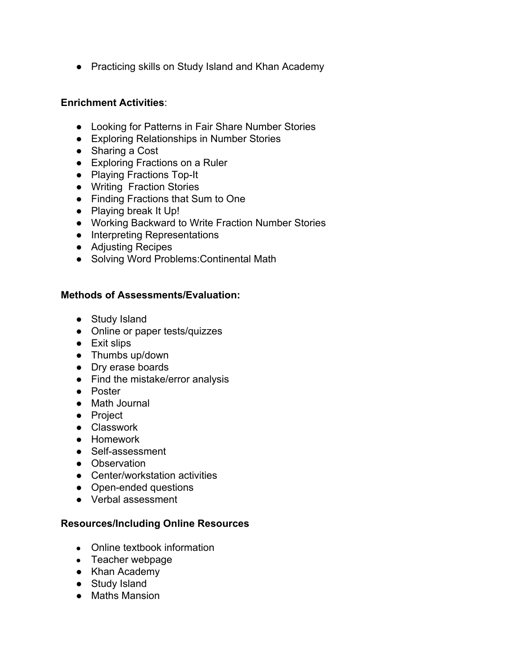● Practicing skills on Study Island and Khan Academy

#### **Enrichment Activities**:

- Looking for Patterns in Fair Share Number Stories
- Exploring Relationships in Number Stories
- Sharing a Cost
- Exploring Fractions on a Ruler
- Playing Fractions Top-It
- Writing Fraction Stories
- Finding Fractions that Sum to One
- Playing break It Up!
- Working Backward to Write Fraction Number Stories
- Interpreting Representations
- Adjusting Recipes
- Solving Word Problems:Continental Math

### **Methods of Assessments/Evaluation:**

- Study Island
- Online or paper tests/quizzes
- Exit slips
- Thumbs up/down
- Dry erase boards
- Find the mistake/error analysis
- Poster
- Math Journal
- Project
- Classwork
- Homework
- Self-assessment
- Observation
- Center/workstation activities
- Open-ended questions
- Verbal assessment

### **Resources/Including Online Resources**

- Online textbook information
- Teacher webpage
- Khan Academy
- Study Island
- Maths Mansion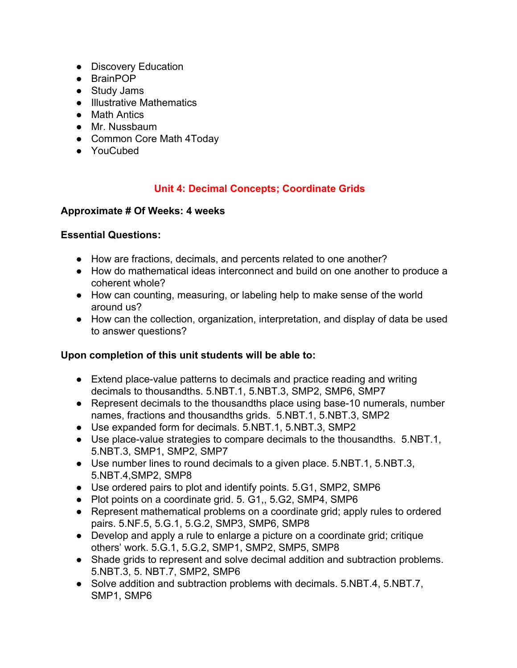- Discovery Education
- BrainPOP
- Study Jams
- Illustrative Mathematics
- Math Antics
- Mr. Nussbaum
- Common Core Math 4Today
- YouCubed

#### **Unit 4: Decimal Concepts; Coordinate Grids**

#### **Approximate # Of Weeks: 4 weeks**

#### **Essential Questions:**

- How are fractions, decimals, and percents related to one another?
- How do mathematical ideas interconnect and build on one another to produce a coherent whole?
- How can counting, measuring, or labeling help to make sense of the world around us?
- How can the collection, organization, interpretation, and display of data be used to answer questions?

#### **Upon completion of this unit students will be able to:**

- Extend place-value patterns to decimals and practice reading and writing decimals to thousandths. 5.NBT.1, 5.NBT.3, SMP2, SMP6, SMP7
- Represent decimals to the thousandths place using base-10 numerals, number names, fractions and thousandths grids. 5.NBT.1, 5.NBT.3, SMP2
- Use expanded form for decimals. 5.NBT.1, 5.NBT.3, SMP2
- Use place-value strategies to compare decimals to the thousandths. 5.NBT.1, 5.NBT.3, SMP1, SMP2, SMP7
- Use number lines to round decimals to a given place. 5.NBT.1, 5.NBT.3, 5.NBT.4,SMP2, SMP8
- Use ordered pairs to plot and identify points. 5.G1, SMP2, SMP6
- Plot points on a coordinate grid. 5. G1,, 5.G2, SMP4, SMP6
- Represent mathematical problems on a coordinate grid; apply rules to ordered pairs. 5.NF.5, 5.G.1, 5.G.2, SMP3, SMP6, SMP8
- Develop and apply a rule to enlarge a picture on a coordinate grid; critique others' work. 5.G.1, 5.G.2, SMP1, SMP2, SMP5, SMP8
- Shade grids to represent and solve decimal addition and subtraction problems. 5.NBT.3, 5. NBT.7, SMP2, SMP6
- Solve addition and subtraction problems with decimals. 5.NBT.4, 5.NBT.7, SMP1, SMP6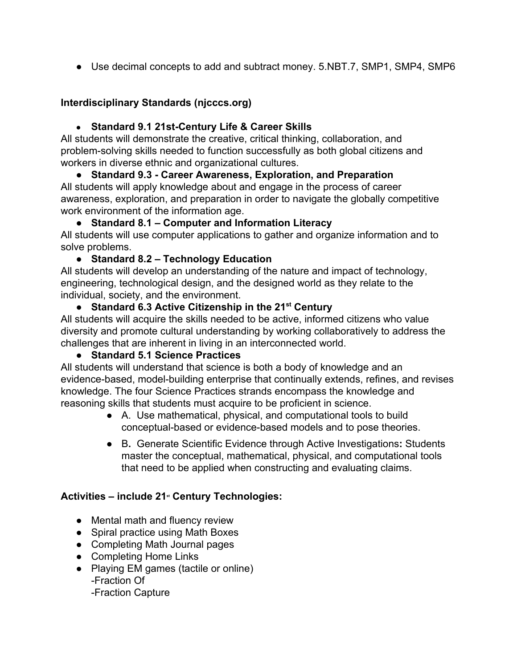● Use decimal concepts to add and subtract money. 5.NBT.7, SMP1, SMP4, SMP6

### **Interdisciplinary Standards (njcccs.org)**

### ● **Standard 9.1 21st-Century Life & Career Skills**

All students will demonstrate the creative, critical thinking, collaboration, and problem-solving skills needed to function successfully as both global citizens and workers in diverse ethnic and organizational cultures.

**● Standard 9.3 - Career Awareness, Exploration, and Preparation** All students will apply knowledge about and engage in the process of career awareness, exploration, and preparation in order to navigate the globally competitive work environment of the information age.

### **● Standard 8.1 – Computer and Information Literacy**

All students will use computer applications to gather and organize information and to solve problems.

# **● Standard 8.2 – Technology Education**

All students will develop an understanding of the nature and impact of technology, engineering, technological design, and the designed world as they relate to the individual, society, and the environment.

# **● Standard 6.3 Active Citizenship in the 21 st Century**

All students will acquire the skills needed to be active, informed citizens who value diversity and promote cultural understanding by working collaboratively to address the challenges that are inherent in living in an interconnected world.

### **● Standard 5.1 Science Practices**

All students will understand that science is both a body of knowledge and an evidence-based, model-building enterprise that continually extends, refines, and revises knowledge. The four Science Practices strands encompass the knowledge and reasoning skills that students must acquire to be proficient in science.

- A. Use mathematical, physical, and computational tools to build conceptual-based or evidence-based models and to pose theories.
- B**.** Generate Scientific Evidence through Active Investigations**:** Students master the conceptual, mathematical, physical, and computational tools that need to be applied when constructing and evaluating claims.

# **Activities – include 21 st Century Technologies:**

- Mental math and fluency review
- Spiral practice using Math Boxes
- Completing Math Journal pages
- Completing Home Links
- Playing EM games (tactile or online) -Fraction Of -Fraction Capture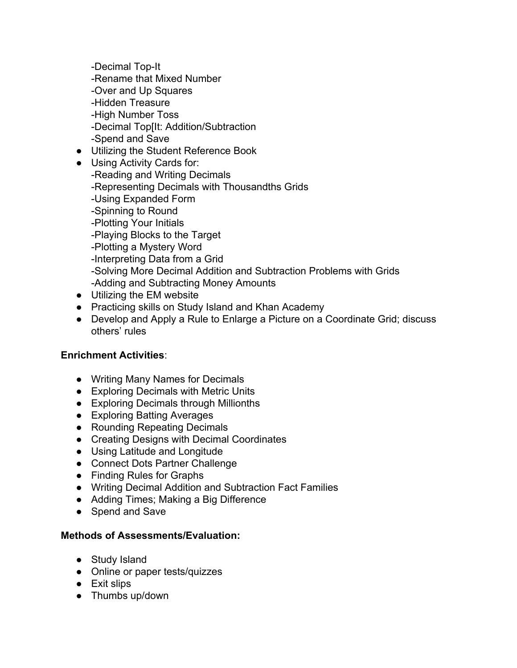-Decimal Top-It -Rename that Mixed Number -Over and Up Squares -Hidden Treasure -High Number Toss -Decimal Top[It: Addition/Subtraction -Spend and Save

- Utilizing the Student Reference Book
- Using Activity Cards for: -Reading and Writing Decimals -Representing Decimals with Thousandths Grids -Using Expanded Form -Spinning to Round -Plotting Your Initials -Playing Blocks to the Target -Plotting a Mystery Word -Interpreting Data from a Grid -Solving More Decimal Addition and Subtraction Problems with Grids -Adding and Subtracting Money Amounts
- Utilizing the EM website
- Practicing skills on Study Island and Khan Academy
- Develop and Apply a Rule to Enlarge a Picture on a Coordinate Grid; discuss others' rules

#### **Enrichment Activities**:

- Writing Many Names for Decimals
- Exploring Decimals with Metric Units
- Exploring Decimals through Millionths
- Exploring Batting Averages
- Rounding Repeating Decimals
- Creating Designs with Decimal Coordinates
- Using Latitude and Longitude
- Connect Dots Partner Challenge
- Finding Rules for Graphs
- Writing Decimal Addition and Subtraction Fact Families
- Adding Times; Making a Big Difference
- Spend and Save

#### **Methods of Assessments/Evaluation:**

- Study Island
- Online or paper tests/quizzes
- Exit slips
- Thumbs up/down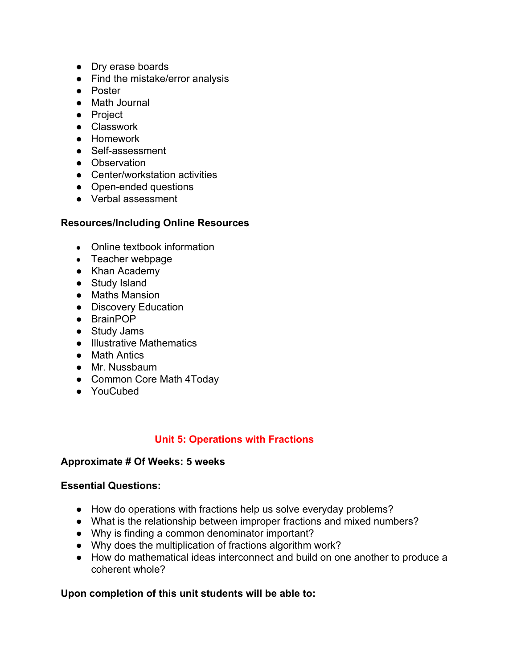- Dry erase boards
- Find the mistake/error analysis
- Poster
- Math Journal
- Project
- Classwork
- Homework
- Self-assessment
- Observation
- Center/workstation activities
- Open-ended questions
- Verbal assessment

#### **Resources/Including Online Resources**

- Online textbook information
- Teacher webpage
- Khan Academy
- Study Island
- Maths Mansion
- Discovery Education
- BrainPOP
- Study Jams
- Illustrative Mathematics
- Math Antics
- Mr. Nussbaum
- Common Core Math 4Today
- YouCubed

### **Unit 5: Operations with Fractions**

#### **Approximate # Of Weeks: 5 weeks**

#### **Essential Questions:**

- How do operations with fractions help us solve everyday problems?
- What is the relationship between improper fractions and mixed numbers?
- Why is finding a common denominator important?
- Why does the multiplication of fractions algorithm work?
- How do mathematical ideas interconnect and build on one another to produce a coherent whole?

### **Upon completion of this unit students will be able to:**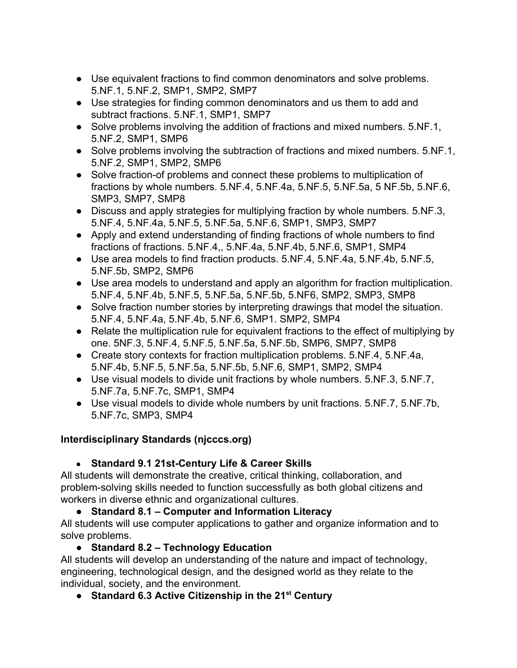- Use equivalent fractions to find common denominators and solve problems. 5.NF.1, 5.NF.2, SMP1, SMP2, SMP7
- Use strategies for finding common denominators and us them to add and subtract fractions. 5.NF.1, SMP1, SMP7
- Solve problems involving the addition of fractions and mixed numbers. 5.NF.1, 5.NF.2, SMP1, SMP6
- Solve problems involving the subtraction of fractions and mixed numbers. 5.NF.1, 5.NF.2, SMP1, SMP2, SMP6
- Solve fraction-of problems and connect these problems to multiplication of fractions by whole numbers. 5.NF.4, 5.NF.4a, 5.NF.5, 5.NF.5a, 5 NF.5b, 5.NF.6, SMP3, SMP7, SMP8
- Discuss and apply strategies for multiplying fraction by whole numbers. 5.NF.3, 5.NF.4, 5.NF.4a, 5.NF.5, 5.NF.5a, 5.NF.6, SMP1, SMP3, SMP7
- Apply and extend understanding of finding fractions of whole numbers to find fractions of fractions. 5.NF.4,, 5.NF.4a, 5.NF.4b, 5.NF.6, SMP1, SMP4
- Use area models to find fraction products. 5.NF.4, 5.NF.4a, 5.NF.4b, 5.NF.5, 5.NF.5b, SMP2, SMP6
- Use area models to understand and apply an algorithm for fraction multiplication. 5.NF.4, 5.NF.4b, 5.NF.5, 5.NF.5a, 5.NF.5b, 5.NF6, SMP2, SMP3, SMP8
- Solve fraction number stories by interpreting drawings that model the situation. 5.NF.4, 5.NF.4a, 5.NF.4b, 5.NF.6, SMP1. SMP2, SMP4
- Relate the multiplication rule for equivalent fractions to the effect of multiplying by one. 5NF.3, 5.NF.4, 5.NF.5, 5.NF.5a, 5.NF.5b, SMP6, SMP7, SMP8
- Create story contexts for fraction multiplication problems. 5.NF.4, 5.NF.4a, 5.NF.4b, 5.NF.5, 5.NF.5a, 5.NF.5b, 5.NF.6, SMP1, SMP2, SMP4
- Use visual models to divide unit fractions by whole numbers. 5.NF.3, 5.NF.7, 5.NF.7a, 5.NF.7c, SMP1, SMP4
- Use visual models to divide whole numbers by unit fractions. 5.NF.7, 5.NF.7b, 5.NF.7c, SMP3, SMP4

# **Interdisciplinary Standards (njcccs.org)**

# ● **Standard 9.1 21st-Century Life & Career Skills**

All students will demonstrate the creative, critical thinking, collaboration, and problem-solving skills needed to function successfully as both global citizens and workers in diverse ethnic and organizational cultures.

# **● Standard 8.1 – Computer and Information Literacy**

All students will use computer applications to gather and organize information and to solve problems.

# **● Standard 8.2 – Technology Education**

All students will develop an understanding of the nature and impact of technology, engineering, technological design, and the designed world as they relate to the individual, society, and the environment.

**● Standard 6.3 Active Citizenship in the 21 st Century**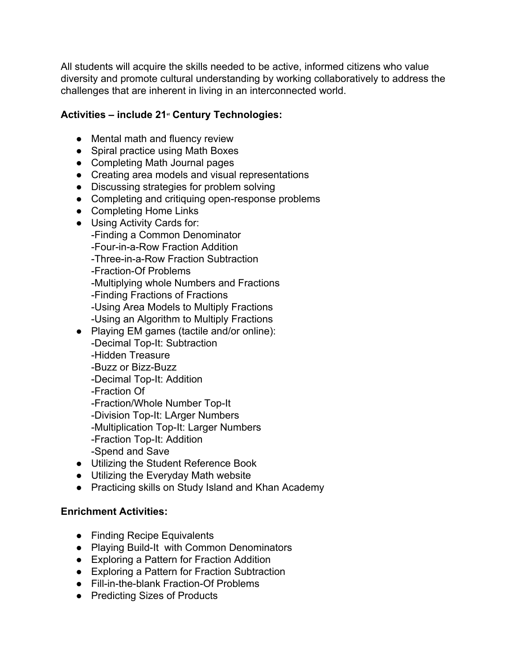All students will acquire the skills needed to be active, informed citizens who value diversity and promote cultural understanding by working collaboratively to address the challenges that are inherent in living in an interconnected world.

# **Activities – include 21 st Century Technologies:**

- Mental math and fluency review
- Spiral practice using Math Boxes
- Completing Math Journal pages
- Creating area models and visual representations
- Discussing strategies for problem solving
- Completing and critiquing open-response problems
- Completing Home Links
- Using Activity Cards for:
	- -Finding a Common Denominator
	- -Four-in-a-Row Fraction Addition
	- -Three-in-a-Row Fraction Subtraction
	- -Fraction-Of Problems
	- -Multiplying whole Numbers and Fractions
	- -Finding Fractions of Fractions
	- -Using Area Models to Multiply Fractions
	- -Using an Algorithm to Multiply Fractions
- Playing EM games (tactile and/or online):
	- -Decimal Top-It: Subtraction
	- -Hidden Treasure
	- -Buzz or Bizz-Buzz
	- -Decimal Top-It: Addition
	- -Fraction Of
	- -Fraction/Whole Number Top-It
	- -Division Top-It: LArger Numbers
	- -Multiplication Top-It: Larger Numbers
	- -Fraction Top-It: Addition
	- -Spend and Save
- Utilizing the Student Reference Book
- Utilizing the Everyday Math website
- Practicing skills on Study Island and Khan Academy

### **Enrichment Activities:**

- Finding Recipe Equivalents
- Playing Build-It with Common Denominators
- Exploring a Pattern for Fraction Addition
- Exploring a Pattern for Fraction Subtraction
- Fill-in-the-blank Fraction-Of Problems
- Predicting Sizes of Products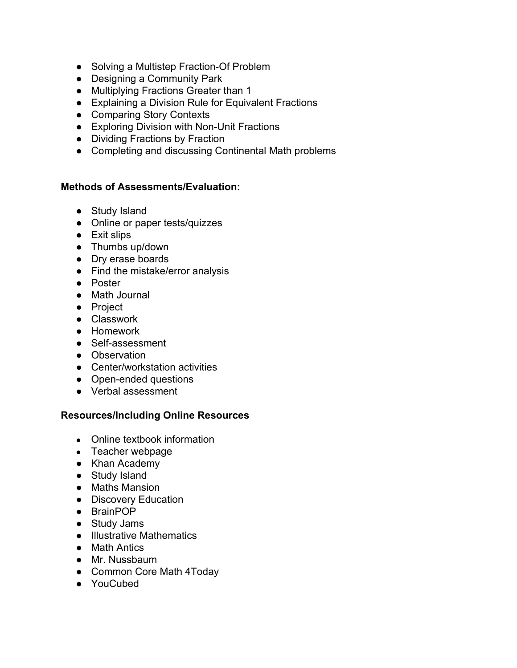- Solving a Multistep Fraction-Of Problem
- Designing a Community Park
- Multiplying Fractions Greater than 1
- Explaining a Division Rule for Equivalent Fractions
- Comparing Story Contexts
- Exploring Division with Non-Unit Fractions
- Dividing Fractions by Fraction
- Completing and discussing Continental Math problems

#### **Methods of Assessments/Evaluation:**

- Study Island
- Online or paper tests/quizzes
- Exit slips
- Thumbs up/down
- Dry erase boards
- Find the mistake/error analysis
- Poster
- Math Journal
- Project
- Classwork
- Homework
- Self-assessment
- Observation
- Center/workstation activities
- Open-ended questions
- Verbal assessment

#### **Resources/Including Online Resources**

- Online textbook information
- Teacher webpage
- Khan Academy
- Study Island
- Maths Mansion
- Discovery Education
- BrainPOP
- Study Jams
- Illustrative Mathematics
- Math Antics
- Mr. Nussbaum
- Common Core Math 4Today
- YouCubed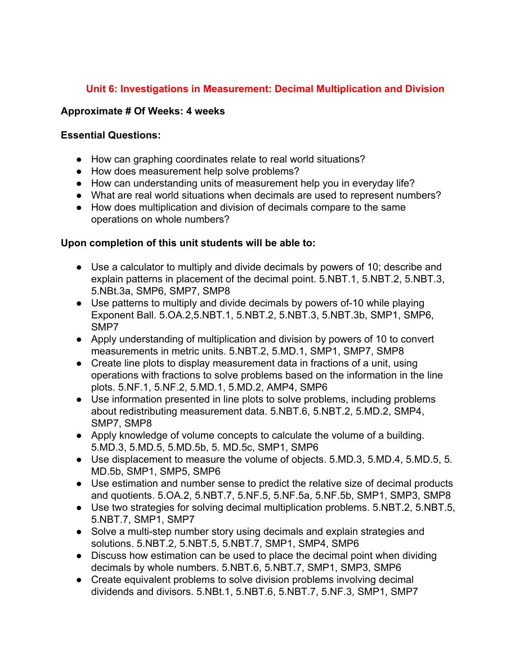## **Unit 6: Investigations in Measurement: Decimal Multiplication and Division**

#### **Approximate # Of Weeks: 4 weeks**

#### **Essential Questions:**

- How can graphing coordinates relate to real world situations?
- How does measurement help solve problems?
- How can understanding units of measurement help you in everyday life?
- What are real world situations when decimals are used to represent numbers?
- How does multiplication and division of decimals compare to the same operations on whole numbers?

#### **Upon completion of this unit students will be able to:**

- Use a calculator to multiply and divide decimals by powers of 10; describe and explain patterns in placement of the decimal point. 5.NBT.1, 5.NBT.2, 5.NBT.3, 5.NBt.3a, SMP6, SMP7, SMP8
- Use patterns to multiply and divide decimals by powers of-10 while playing Exponent Ball. 5.OA.2,5.NBT.1, 5.NBT.2, 5.NBT.3, 5.NBT.3b, SMP1, SMP6, SMP7
- Apply understanding of multiplication and division by powers of 10 to convert measurements in metric units. 5.NBT.2, 5.MD.1, SMP1, SMP7, SMP8
- Create line plots to display measurement data in fractions of a unit, using operations with fractions to solve problems based on the information in the line plots. 5.NF.1, 5.NF.2, 5.MD.1, 5.MD.2, AMP4, SMP6
- Use information presented in line plots to solve problems, including problems about redistributing measurement data. 5.NBT.6, 5.NBT.2, 5.MD.2, SMP4, SMP7, SMP8
- Apply knowledge of volume concepts to calculate the volume of a building. 5.MD.3, 5.MD.5, 5.MD.5b, 5. MD.5c, SMP1, SMP6
- Use displacement to measure the volume of objects. 5.MD.3, 5.MD.4, 5.MD.5, 5. MD.5b, SMP1, SMP5, SMP6
- Use estimation and number sense to predict the relative size of decimal products and quotients. 5.OA.2, 5.NBT.7, 5.NF.5, 5.NF.5a, 5.NF.5b, SMP1, SMP3, SMP8
- Use two strategies for solving decimal multiplication problems. 5.NBT.2, 5.NBT.5, 5.NBT.7, SMP1, SMP7
- Solve a multi-step number story using decimals and explain strategies and solutions. 5.NBT.2, 5.NBT.5, 5.NBT.7, SMP1, SMP4, SMP6
- Discuss how estimation can be used to place the decimal point when dividing decimals by whole numbers. 5.NBT.6, 5.NBT.7, SMP1, SMP3, SMP6
- Create equivalent problems to solve division problems involving decimal dividends and divisors. 5.NBt.1, 5.NBT.6, 5.NBT.7, 5.NF.3, SMP1, SMP7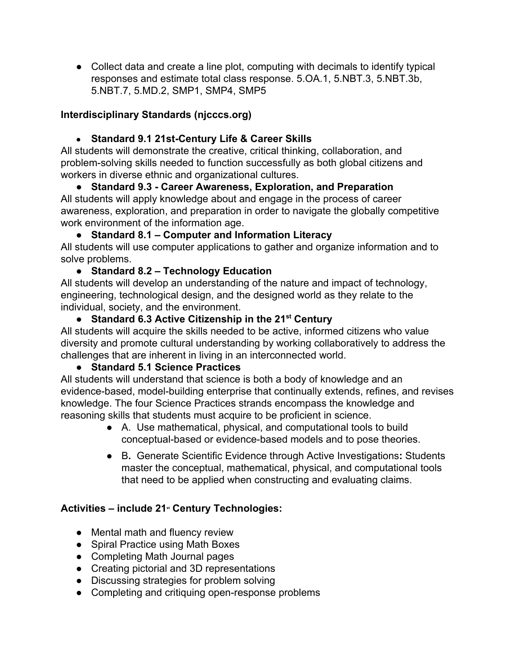● Collect data and create a line plot, computing with decimals to identify typical responses and estimate total class response. 5.OA.1, 5.NBT.3, 5.NBT.3b, 5.NBT.7, 5.MD.2, SMP1, SMP4, SMP5

# **Interdisciplinary Standards (njcccs.org)**

# ● **Standard 9.1 21st-Century Life & Career Skills**

All students will demonstrate the creative, critical thinking, collaboration, and problem-solving skills needed to function successfully as both global citizens and workers in diverse ethnic and organizational cultures.

**● Standard 9.3 - Career Awareness, Exploration, and Preparation** All students will apply knowledge about and engage in the process of career awareness, exploration, and preparation in order to navigate the globally competitive work environment of the information age.

# **● Standard 8.1 – Computer and Information Literacy**

All students will use computer applications to gather and organize information and to solve problems.

# **● Standard 8.2 – Technology Education**

All students will develop an understanding of the nature and impact of technology, engineering, technological design, and the designed world as they relate to the individual, society, and the environment.

# **● Standard 6.3 Active Citizenship in the 21 st Century**

All students will acquire the skills needed to be active, informed citizens who value diversity and promote cultural understanding by working collaboratively to address the challenges that are inherent in living in an interconnected world.

# **● Standard 5.1 Science Practices**

All students will understand that science is both a body of knowledge and an evidence-based, model-building enterprise that continually extends, refines, and revises knowledge. The four Science Practices strands encompass the knowledge and reasoning skills that students must acquire to be proficient in science.

- A. Use mathematical, physical, and computational tools to build conceptual-based or evidence-based models and to pose theories.
- B**.** Generate Scientific Evidence through Active Investigations**:** Students master the conceptual, mathematical, physical, and computational tools that need to be applied when constructing and evaluating claims.

# **Activities – include 21 st Century Technologies:**

- Mental math and fluency review
- Spiral Practice using Math Boxes
- Completing Math Journal pages
- Creating pictorial and 3D representations
- Discussing strategies for problem solving
- Completing and critiquing open-response problems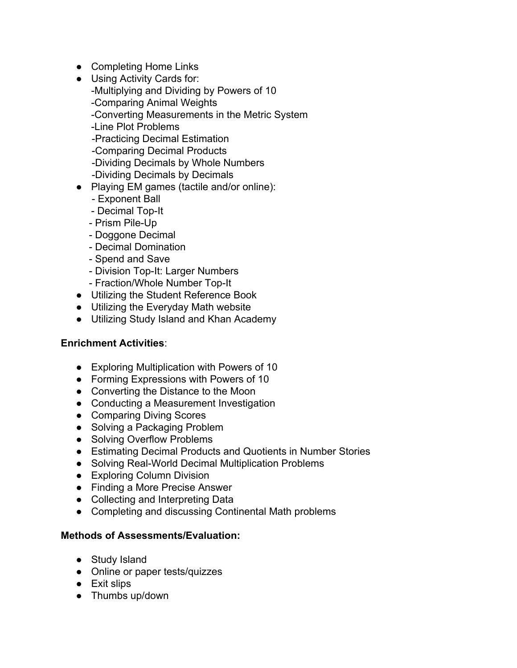- Completing Home Links
- Using Activity Cards for: -Multiplying and Dividing by Powers of 10 -Comparing Animal Weights -Converting Measurements in the Metric System
	- -Line Plot Problems
	- -Practicing Decimal Estimation
	- -Comparing Decimal Products
	- -Dividing Decimals by Whole Numbers
	- -Dividing Decimals by Decimals
- Playing EM games (tactile and/or online):
	- Exponent Ball
	- Decimal Top-It
	- Prism Pile-Up
	- Doggone Decimal
	- Decimal Domination
	- Spend and Save
	- Division Top-It: Larger Numbers
	- Fraction/Whole Number Top-It
- Utilizing the Student Reference Book
- Utilizing the Everyday Math website
- Utilizing Study Island and Khan Academy

#### **Enrichment Activities**:

- Exploring Multiplication with Powers of 10
- Forming Expressions with Powers of 10
- Converting the Distance to the Moon
- Conducting a Measurement Investigation
- Comparing Diving Scores
- Solving a Packaging Problem
- Solving Overflow Problems
- Estimating Decimal Products and Quotients in Number Stories
- Solving Real-World Decimal Multiplication Problems
- Exploring Column Division
- Finding a More Precise Answer
- Collecting and Interpreting Data
- Completing and discussing Continental Math problems

#### **Methods of Assessments/Evaluation:**

- Study Island
- Online or paper tests/quizzes
- Exit slips
- Thumbs up/down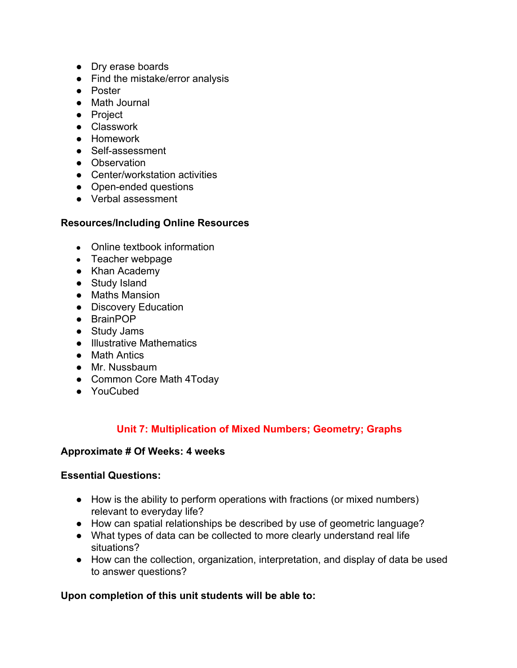- Dry erase boards
- Find the mistake/error analysis
- Poster
- Math Journal
- Project
- Classwork
- Homework
- Self-assessment
- Observation
- Center/workstation activities
- Open-ended questions
- Verbal assessment

#### **Resources/Including Online Resources**

- Online textbook information
- Teacher webpage
- Khan Academy
- Study Island
- Maths Mansion
- Discovery Education
- BrainPOP
- Study Jams
- Illustrative Mathematics
- Math Antics
- Mr. Nussbaum
- Common Core Math 4Today
- YouCubed

### **Unit 7: Multiplication of Mixed Numbers; Geometry; Graphs**

#### **Approximate # Of Weeks: 4 weeks**

#### **Essential Questions:**

- How is the ability to perform operations with fractions (or mixed numbers) relevant to everyday life?
- How can spatial relationships be described by use of geometric language?
- What types of data can be collected to more clearly understand real life situations?
- How can the collection, organization, interpretation, and display of data be used to answer questions?

### **Upon completion of this unit students will be able to:**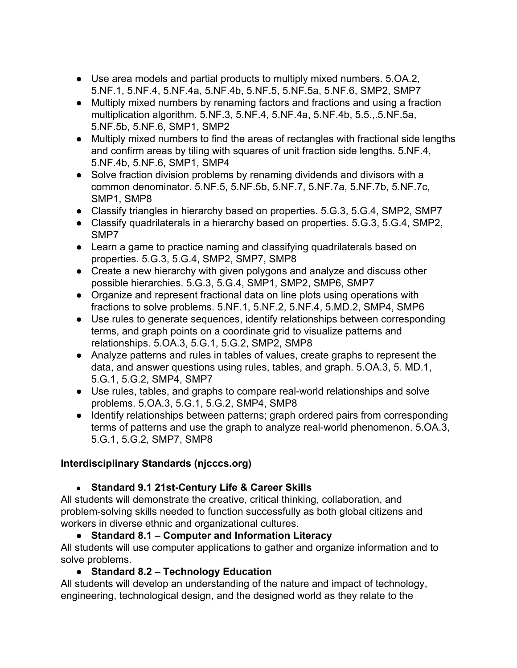- Use area models and partial products to multiply mixed numbers. 5.OA.2, 5.NF.1, 5.NF.4, 5.NF.4a, 5.NF.4b, 5.NF.5, 5.NF.5a, 5.NF.6, SMP2, SMP7
- Multiply mixed numbers by renaming factors and fractions and using a fraction multiplication algorithm. 5.NF.3, 5.NF.4, 5.NF.4a, 5.NF.4b, 5.5.,.5.NF.5a, 5.NF.5b, 5.NF.6, SMP1, SMP2
- Multiply mixed numbers to find the areas of rectangles with fractional side lengths and confirm areas by tiling with squares of unit fraction side lengths. 5.NF.4, 5.NF.4b, 5.NF.6, SMP1, SMP4
- Solve fraction division problems by renaming dividends and divisors with a common denominator. 5.NF.5, 5.NF.5b, 5.NF.7, 5.NF.7a, 5.NF.7b, 5.NF.7c, SMP1, SMP8
- Classify triangles in hierarchy based on properties. 5.G.3, 5.G.4, SMP2, SMP7
- Classify quadrilaterals in a hierarchy based on properties. 5.G.3, 5.G.4, SMP2, SMP7
- Learn a game to practice naming and classifying quadrilaterals based on properties. 5.G.3, 5.G.4, SMP2, SMP7, SMP8
- Create a new hierarchy with given polygons and analyze and discuss other possible hierarchies. 5.G.3, 5.G.4, SMP1, SMP2, SMP6, SMP7
- Organize and represent fractional data on line plots using operations with fractions to solve problems. 5.NF.1, 5.NF.2, 5.NF.4, 5.MD.2, SMP4, SMP6
- Use rules to generate sequences, identify relationships between corresponding terms, and graph points on a coordinate grid to visualize patterns and relationships. 5.OA.3, 5.G.1, 5.G.2, SMP2, SMP8
- Analyze patterns and rules in tables of values, create graphs to represent the data, and answer questions using rules, tables, and graph. 5.OA.3, 5. MD.1, 5.G.1, 5.G.2, SMP4, SMP7
- Use rules, tables, and graphs to compare real-world relationships and solve problems. 5.OA.3, 5.G.1, 5.G.2, SMP4, SMP8
- Identify relationships between patterns; graph ordered pairs from corresponding terms of patterns and use the graph to analyze real-world phenomenon. 5.OA.3, 5.G.1, 5.G.2, SMP7, SMP8

# **Interdisciplinary Standards (njcccs.org)**

● **Standard 9.1 21st-Century Life & Career Skills**

All students will demonstrate the creative, critical thinking, collaboration, and problem-solving skills needed to function successfully as both global citizens and workers in diverse ethnic and organizational cultures.

# **● Standard 8.1 – Computer and Information Literacy**

All students will use computer applications to gather and organize information and to solve problems.

**● Standard 8.2 – Technology Education**

All students will develop an understanding of the nature and impact of technology, engineering, technological design, and the designed world as they relate to the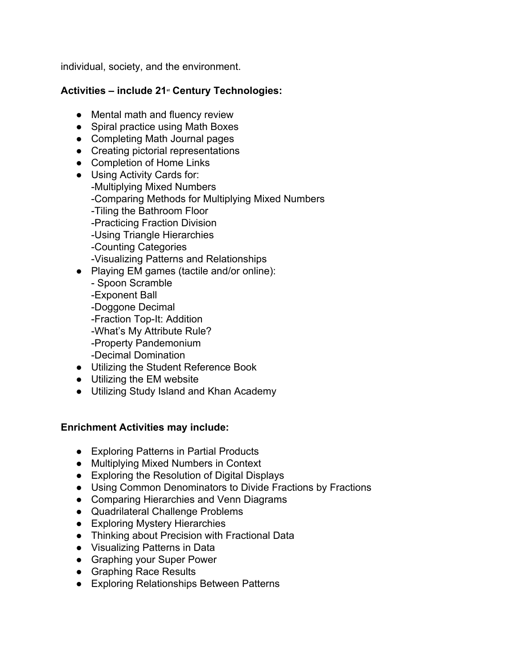individual, society, and the environment.

# **Activities – include 21 st Century Technologies:**

- Mental math and fluency review
- Spiral practice using Math Boxes
- Completing Math Journal pages
- Creating pictorial representations
- Completion of Home Links
- Using Activity Cards for: -Multiplying Mixed Numbers -Comparing Methods for Multiplying Mixed Numbers -Tiling the Bathroom Floor -Practicing Fraction Division -Using Triangle Hierarchies -Counting Categories -Visualizing Patterns and Relationships
- Playing EM games (tactile and/or online):
	- Spoon Scramble
	- -Exponent Ball
	- -Doggone Decimal
	- -Fraction Top-It: Addition
	- -What's My Attribute Rule?
	- -Property Pandemonium
	- -Decimal Domination
- Utilizing the Student Reference Book
- Utilizing the EM website
- Utilizing Study Island and Khan Academy

### **Enrichment Activities may include:**

- Exploring Patterns in Partial Products
- Multiplying Mixed Numbers in Context
- Exploring the Resolution of Digital Displays
- Using Common Denominators to Divide Fractions by Fractions
- Comparing Hierarchies and Venn Diagrams
- Quadrilateral Challenge Problems
- Exploring Mystery Hierarchies
- Thinking about Precision with Fractional Data
- Visualizing Patterns in Data
- Graphing your Super Power
- Graphing Race Results
- Exploring Relationships Between Patterns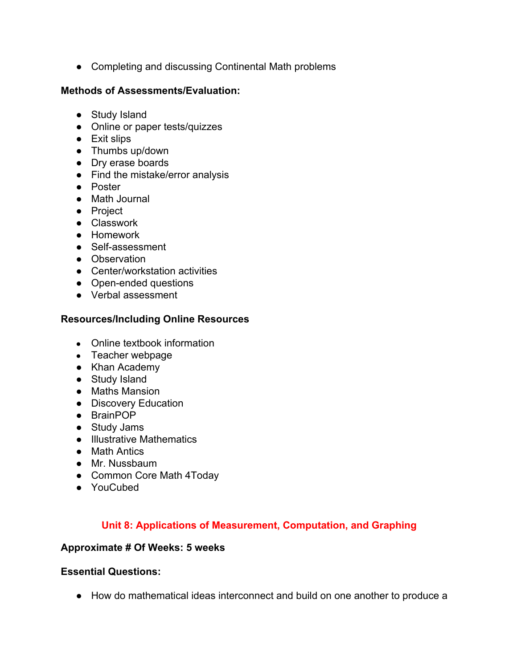● Completing and discussing Continental Math problems

### **Methods of Assessments/Evaluation:**

- Study Island
- Online or paper tests/quizzes
- Exit slips
- Thumbs up/down
- Dry erase boards
- Find the mistake/error analysis
- Poster
- Math Journal
- Project
- Classwork
- Homework
- Self-assessment
- Observation
- Center/workstation activities
- Open-ended questions
- Verbal assessment

# **Resources/Including Online Resources**

- Online textbook information
- Teacher webpage
- Khan Academy
- Study Island
- Maths Mansion
- Discovery Education
- BrainPOP
- Study Jams
- Illustrative Mathematics
- Math Antics
- Mr. Nussbaum
- Common Core Math 4Today
- YouCubed

# **Unit 8: Applications of Measurement, Computation, and Graphing**

### **Approximate # Of Weeks: 5 weeks**

### **Essential Questions:**

● How do mathematical ideas interconnect and build on one another to produce a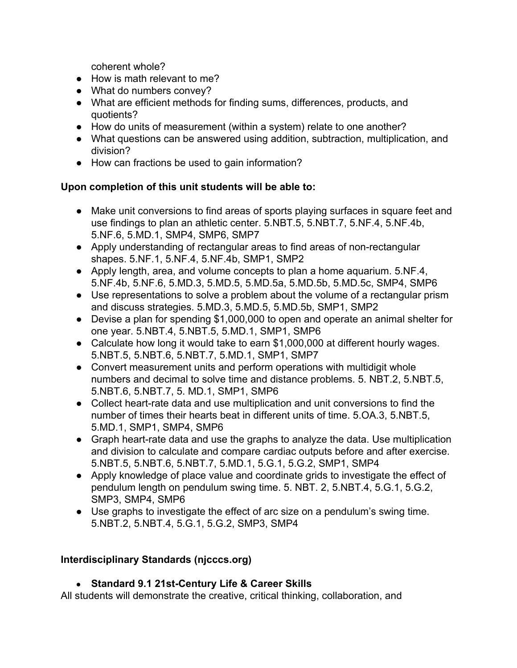coherent whole?

- How is math relevant to me?
- What do numbers convey?
- What are efficient methods for finding sums, differences, products, and quotients?
- How do units of measurement (within a system) relate to one another?
- What questions can be answered using addition, subtraction, multiplication, and division?
- How can fractions be used to gain information?

### **Upon completion of this unit students will be able to:**

- Make unit conversions to find areas of sports playing surfaces in square feet and use findings to plan an athletic center. 5.NBT.5, 5.NBT.7, 5.NF.4, 5.NF.4b, 5.NF.6, 5.MD.1, SMP4, SMP6, SMP7
- Apply understanding of rectangular areas to find areas of non-rectangular shapes. 5.NF.1, 5.NF.4, 5.NF.4b, SMP1, SMP2
- Apply length, area, and volume concepts to plan a home aquarium. 5.NF.4, 5.NF.4b, 5.NF.6, 5.MD.3, 5.MD.5, 5.MD.5a, 5.MD.5b, 5.MD.5c, SMP4, SMP6
- Use representations to solve a problem about the volume of a rectangular prism and discuss strategies. 5.MD.3, 5.MD.5, 5.MD.5b, SMP1, SMP2
- Devise a plan for spending \$1,000,000 to open and operate an animal shelter for one year. 5.NBT.4, 5.NBT.5, 5.MD.1, SMP1, SMP6
- Calculate how long it would take to earn \$1,000,000 at different hourly wages. 5.NBT.5, 5.NBT.6, 5.NBT.7, 5.MD.1, SMP1, SMP7
- Convert measurement units and perform operations with multidigit whole numbers and decimal to solve time and distance problems. 5. NBT.2, 5.NBT.5, 5.NBT.6, 5.NBT.7, 5. MD.1, SMP1, SMP6
- Collect heart-rate data and use multiplication and unit conversions to find the number of times their hearts beat in different units of time. 5.OA.3, 5.NBT.5, 5.MD.1, SMP1, SMP4, SMP6
- Graph heart-rate data and use the graphs to analyze the data. Use multiplication and division to calculate and compare cardiac outputs before and after exercise. 5.NBT.5, 5.NBT.6, 5.NBT.7, 5.MD.1, 5.G.1, 5.G.2, SMP1, SMP4
- Apply knowledge of place value and coordinate grids to investigate the effect of pendulum length on pendulum swing time. 5. NBT. 2, 5.NBT.4, 5.G.1, 5.G.2, SMP3, SMP4, SMP6
- Use graphs to investigate the effect of arc size on a pendulum's swing time. 5.NBT.2, 5.NBT.4, 5.G.1, 5.G.2, SMP3, SMP4

# **Interdisciplinary Standards (njcccs.org)**

# ● **Standard 9.1 21st-Century Life & Career Skills**

All students will demonstrate the creative, critical thinking, collaboration, and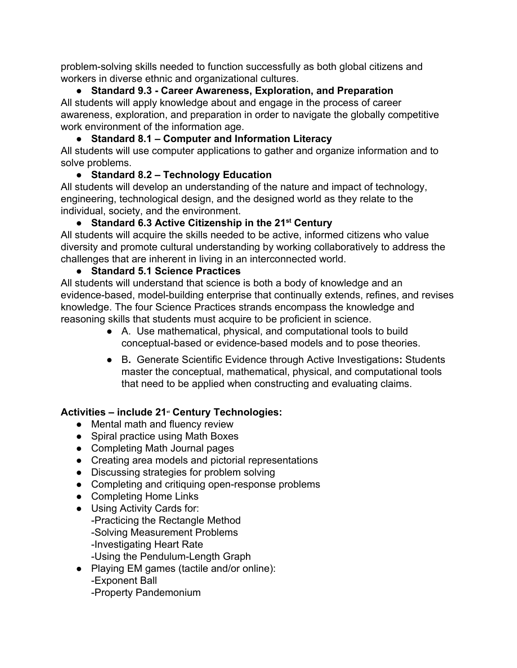problem-solving skills needed to function successfully as both global citizens and workers in diverse ethnic and organizational cultures.

## **● Standard 9.3 - Career Awareness, Exploration, and Preparation**

All students will apply knowledge about and engage in the process of career awareness, exploration, and preparation in order to navigate the globally competitive work environment of the information age.

# **● Standard 8.1 – Computer and Information Literacy**

All students will use computer applications to gather and organize information and to solve problems.

# **● Standard 8.2 – Technology Education**

All students will develop an understanding of the nature and impact of technology, engineering, technological design, and the designed world as they relate to the individual, society, and the environment.

# **● Standard 6.3 Active Citizenship in the 21 st Century**

All students will acquire the skills needed to be active, informed citizens who value diversity and promote cultural understanding by working collaboratively to address the challenges that are inherent in living in an interconnected world.

# **● Standard 5.1 Science Practices**

All students will understand that science is both a body of knowledge and an evidence-based, model-building enterprise that continually extends, refines, and revises knowledge. The four Science Practices strands encompass the knowledge and reasoning skills that students must acquire to be proficient in science.

- A. Use mathematical, physical, and computational tools to build conceptual-based or evidence-based models and to pose theories.
- B**.** Generate Scientific Evidence through Active Investigations**:** Students master the conceptual, mathematical, physical, and computational tools that need to be applied when constructing and evaluating claims.

# **Activities – include 21 st Century Technologies:**

- Mental math and fluency review
- Spiral practice using Math Boxes
- Completing Math Journal pages
- Creating area models and pictorial representations
- Discussing strategies for problem solving
- Completing and critiquing open-response problems
- Completing Home Links
- Using Activity Cards for: -Practicing the Rectangle Method -Solving Measurement Problems -Investigating Heart Rate -Using the Pendulum-Length Graph
- Playing EM games (tactile and/or online): -Exponent Ball -Property Pandemonium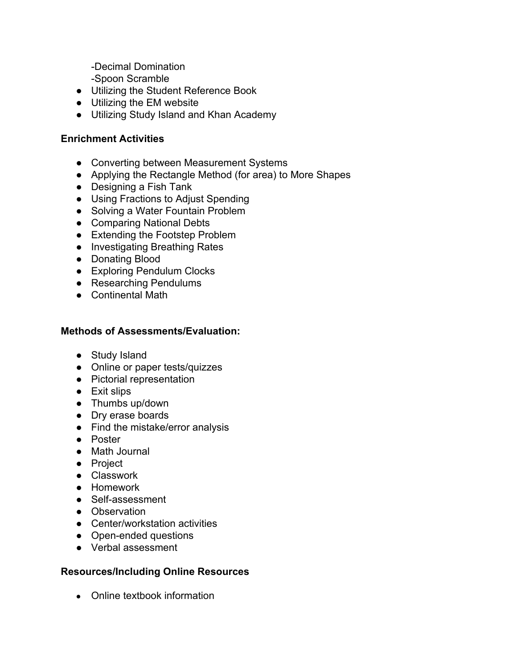-Decimal Domination

-Spoon Scramble

- Utilizing the Student Reference Book
- Utilizing the EM website
- Utilizing Study Island and Khan Academy

#### **Enrichment Activities**

- Converting between Measurement Systems
- Applying the Rectangle Method (for area) to More Shapes
- Designing a Fish Tank
- Using Fractions to Adjust Spending
- Solving a Water Fountain Problem
- Comparing National Debts
- Extending the Footstep Problem
- Investigating Breathing Rates
- Donating Blood
- Exploring Pendulum Clocks
- Researching Pendulums
- Continental Math

#### **Methods of Assessments/Evaluation:**

- Study Island
- Online or paper tests/quizzes
- Pictorial representation
- Exit slips
- Thumbs up/down
- Dry erase boards
- Find the mistake/error analysis
- Poster
- Math Journal
- Project
- Classwork
- Homework
- Self-assessment
- Observation
- Center/workstation activities
- Open-ended questions
- Verbal assessment

#### **Resources/Including Online Resources**

• Online textbook information